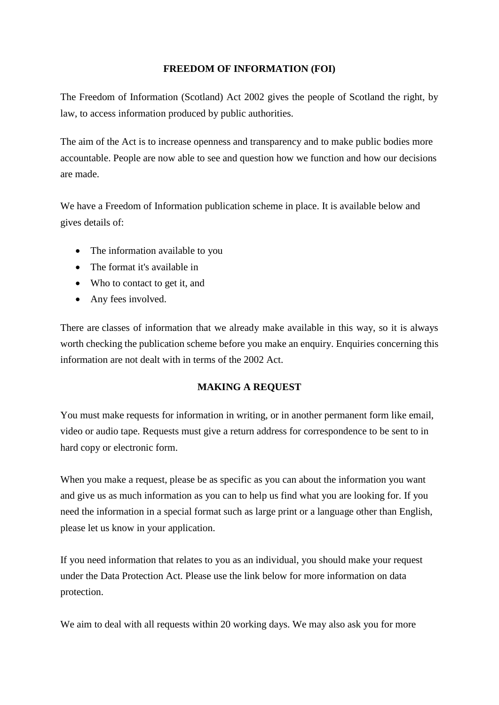## **FREEDOM OF INFORMATION (FOI)**

The Freedom of Information (Scotland) Act 2002 gives the people of Scotland the right, by law, to access information produced by public authorities.

The aim of the Act is to increase openness and transparency and to make public bodies more accountable. People are now able to see and question how we function and how our decisions are made.

We have a Freedom of Information publication scheme in place. It is available below and gives details of:

- The information available to you
- The format it's available in
- Who to contact to get it, and
- Any fees involved.

There are classes of information that we already make available in this way, so it is always worth checking the publication scheme before you make an enquiry. Enquiries concerning this information are not dealt with in terms of the 2002 Act.

## **MAKING A REQUEST**

You must make requests for information in writing, or in another permanent form like email, video or audio tape. Requests must give a return address for correspondence to be sent to in hard copy or electronic form.

When you make a request, please be as specific as you can about the information you want and give us as much information as you can to help us find what you are looking for. If you need the information in a special format such as large print or a language other than English, please let us know in your application.

If you need information that relates to you as an individual, you should make your request under the Data Protection Act. Please use the link below for more information on data protection.

We aim to deal with all requests within 20 working days. We may also ask you for more